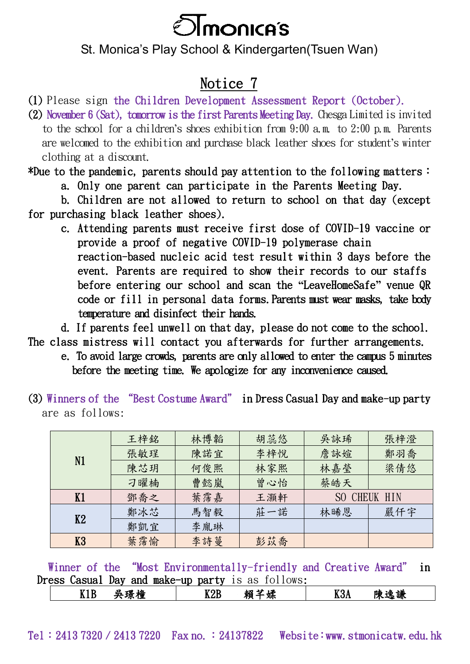

## St. Monica's Play School & Kindergarten(Tsuen Wan)

## Notice 7

(1) Please sign the Children Development Assessment Report (October).

(2) November 6 (Sat), tomorrow is the first Parents Meeting Day. Chesga Limited is invited to the school for a children's shoes exhibition from 9:00 a.m. to 2:00 p.m. Parents are welcomed to the exhibition and purchase black leather shoes for student's winter clothing at a discount.

\*Due to the pandemic, parents should pay attention to the following matters: a. Only one parent can participate in the Parents Meeting Day.

 b. Children are not allowed to return to school on that day (except for purchasing black leather shoes).

 c. Attending parents must receive first dose of COVID-19 vaccine or provide a proof of negative COVID-19 polymerase chain reaction-based nucleic acid test result within 3 days before the event. Parents are required to show their records to our staffs before entering our school and scan the **"**LeaveHomeSafe**"** venue QR code or fill in personal data forms. Parents must wear masks, take body temperature and disinfect their hands.

d. If parents feel unwell on that day, please do not come to the school.

The class mistress will contact you afterwards for further arrangements.

 e. To avoid large crowds, parents are only allowed to enter the campus 5 minutes before the meeting time. We apologize for any inconvenience caused.

(3) Winners of the "Best Costume Award" in Dress Casual Day and make-up party are as follows:

| N1 | 王梓銘 | 林博韜 | 胡蕊悠 | 吳詠琋              | 張梓澄 |
|----|-----|-----|-----|------------------|-----|
|    | 張敏珵 | 陳諾宜 | 李梓悅 | 詹詠媗              | 鄭羽喬 |
|    | 陳芯玥 | 何俊熙 | 林家熙 | 林嘉瑩              | 梁倩悠 |
|    | 刁曜楠 | 曹懿嵐 | 曾心怡 | 蔡皓天              |     |
| K1 | 鄧喬之 | 葉霈嘉 | 王灝軒 | CHEUK HIN<br>SO. |     |
| K2 | 鄭冰芯 | 馬智毅 | 莊一諾 | 林晞恩              | 嚴仟宇 |
|    | 鄭凱宜 | 李胤琳 |     |                  |     |
| K3 | 葉霈愉 | 李詩蔓 | 彭苡喬 |                  |     |

Winner of the "Most Environmentally-friendly and Creative Award" in Dress Casual Day and make-up party is as follows:

|  | ----<br>79<br>小里<br>.<br>- - - - | $- - - -$<br>. .<br>---- | $\sim$ $\sim$<br>∸≖<br>جدا<br>彩自<br>. .<br>ᄽ | $-7.9$ | - 24<br>-345<br>陬<br>- 23<br>מנ<br>wм |  |
|--|----------------------------------|--------------------------|----------------------------------------------|--------|---------------------------------------|--|
|--|----------------------------------|--------------------------|----------------------------------------------|--------|---------------------------------------|--|

Tel: 2413 7320 / 2413 7220 Fax no.: 24137822 Website:www.stmonicatw.edu.hk